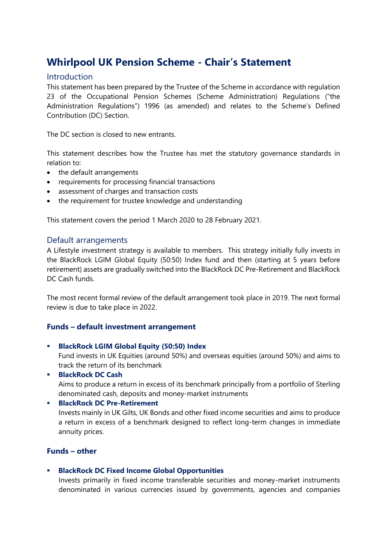# **Whirlpool UK Pension Scheme - Chair's Statement**

# Introduction

This statement has been prepared by the Trustee of the Scheme in accordance with regulation 23 of the Occupational Pension Schemes (Scheme Administration) Regulations ("the Administration Regulations") 1996 (as amended) and relates to the Scheme's Defined Contribution (DC) Section.

The DC section is closed to new entrants.

This statement describes how the Trustee has met the statutory governance standards in relation to:

- the default arrangements
- requirements for processing financial transactions
- assessment of charges and transaction costs
- the requirement for trustee knowledge and understanding

This statement covers the period 1 March 2020 to 28 February 2021.

### Default arrangements

A Lifestyle investment strategy is available to members. This strategy initially fully invests in the BlackRock LGIM Global Equity (50:50) Index fund and then (starting at 5 years before retirement) assets are gradually switched into the BlackRock DC Pre-Retirement and BlackRock DC Cash funds.

The most recent formal review of the default arrangement took place in 2019. The next formal review is due to take place in 2022.

### **Funds – default investment arrangement**

**BlackRock LGIM Global Equity (50:50) Index** 

Fund invests in UK Equities (around 50%) and overseas equities (around 50%) and aims to track the return of its benchmark

**BlackRock DC Cash** 

Aims to produce a return in excess of its benchmark principally from a portfolio of Sterling denominated cash, deposits and money-market instruments

#### **BlackRock DC Pre-Retirement**

Invests mainly in UK Gilts, UK Bonds and other fixed income securities and aims to produce a return in excess of a benchmark designed to reflect long-term changes in immediate annuity prices.

# **Funds – other**

#### **BlackRock DC Fixed Income Global Opportunities**

Invests primarily in fixed income transferable securities and money-market instruments denominated in various currencies issued by governments, agencies and companies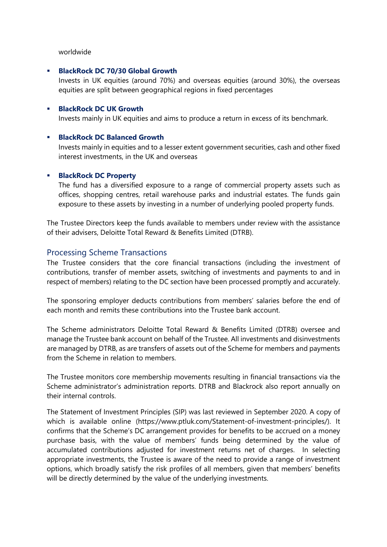#### worldwide

#### **BlackRock DC 70/30 Global Growth**

Invests in UK equities (around 70%) and overseas equities (around 30%), the overseas equities are split between geographical regions in fixed percentages

#### **BlackRock DC UK Growth**

Invests mainly in UK equities and aims to produce a return in excess of its benchmark.

#### **BlackRock DC Balanced Growth**

Invests mainly in equities and to a lesser extent government securities, cash and other fixed interest investments, in the UK and overseas

#### **BlackRock DC Property**

The fund has a diversified exposure to a range of commercial property assets such as offices, shopping centres, retail warehouse parks and industrial estates. The funds gain exposure to these assets by investing in a number of underlying pooled property funds.

The Trustee Directors keep the funds available to members under review with the assistance of their advisers, Deloitte Total Reward & Benefits Limited (DTRB).

# Processing Scheme Transactions

The Trustee considers that the core financial transactions (including the investment of contributions, transfer of member assets, switching of investments and payments to and in respect of members) relating to the DC section have been processed promptly and accurately.

The sponsoring employer deducts contributions from members' salaries before the end of each month and remits these contributions into the Trustee bank account.

The Scheme administrators Deloitte Total Reward & Benefits Limited (DTRB) oversee and manage the Trustee bank account on behalf of the Trustee. All investments and disinvestments are managed by DTRB, as are transfers of assets out of the Scheme for members and payments from the Scheme in relation to members.

The Trustee monitors core membership movements resulting in financial transactions via the Scheme administrator's administration reports. DTRB and Blackrock also report annually on their internal controls.

The Statement of Investment Principles (SIP) was last reviewed in September 2020. A copy of which is available online (https://www.ptluk.com/Statement-of-investment-principles/). It confirms that the Scheme's DC arrangement provides for benefits to be accrued on a money purchase basis, with the value of members' funds being determined by the value of accumulated contributions adjusted for investment returns net of charges. In selecting appropriate investments, the Trustee is aware of the need to provide a range of investment options, which broadly satisfy the risk profiles of all members, given that members' benefits will be directly determined by the value of the underlying investments.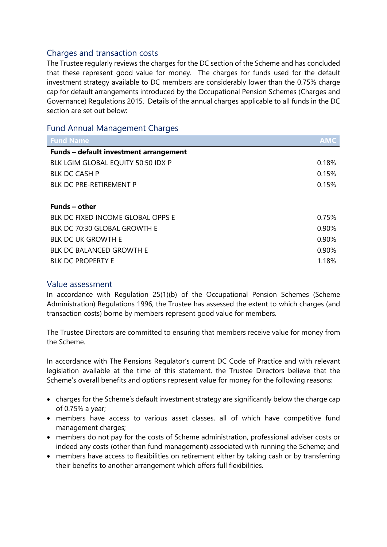# Charges and transaction costs

The Trustee regularly reviews the charges for the DC section of the Scheme and has concluded that these represent good value for money. The charges for funds used for the default investment strategy available to DC members are considerably lower than the 0.75% charge cap for default arrangements introduced by the Occupational Pension Schemes (Charges and Governance) Regulations 2015. Details of the annual charges applicable to all funds in the DC section are set out below:

# Fund Annual Management Charges

| <b>Fund Name</b>                       | <b>AMC</b> |
|----------------------------------------|------------|
| Funds - default investment arrangement |            |
| BLK LGIM GLOBAL EQUITY 50:50 IDX P     | 0.18%      |
| <b>BLK DC CASH P</b>                   | 0.15%      |
| <b>BLK DC PRE-RETIREMENT P</b>         | 0.15%      |
|                                        |            |
| <b>Funds - other</b>                   |            |
| BLK DC FIXED INCOME GLOBAL OPPS E      | 0.75%      |
| BLK DC 70:30 GLOBAL GROWTH E           | 0.90%      |
| <b>BLK DC UK GROWTH E</b>              | 0.90%      |
| <b>BLK DC BALANCED GROWTH E</b>        | 0.90%      |
| <b>BLK DC PROPERTY E</b>               | 1.18%      |

# Value assessment

In accordance with Regulation 25(1)(b) of the Occupational Pension Schemes (Scheme Administration) Regulations 1996, the Trustee has assessed the extent to which charges (and transaction costs) borne by members represent good value for members.

The Trustee Directors are committed to ensuring that members receive value for money from the Scheme.

In accordance with The Pensions Regulator's current DC Code of Practice and with relevant legislation available at the time of this statement, the Trustee Directors believe that the Scheme's overall benefits and options represent value for money for the following reasons:

- charges for the Scheme's default investment strategy are significantly below the charge cap of 0.75% a year;
- members have access to various asset classes, all of which have competitive fund management charges;
- members do not pay for the costs of Scheme administration, professional adviser costs or indeed any costs (other than fund management) associated with running the Scheme; and
- members have access to flexibilities on retirement either by taking cash or by transferring their benefits to another arrangement which offers full flexibilities.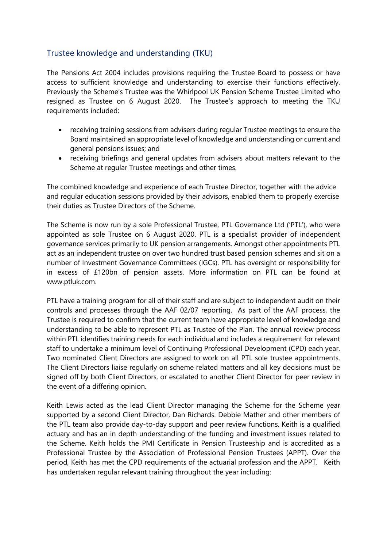# Trustee knowledge and understanding (TKU)

The Pensions Act 2004 includes provisions requiring the Trustee Board to possess or have access to sufficient knowledge and understanding to exercise their functions effectively. Previously the Scheme's Trustee was the Whirlpool UK Pension Scheme Trustee Limited who resigned as Trustee on 6 August 2020. The Trustee's approach to meeting the TKU requirements included:

- receiving training sessions from advisers during regular Trustee meetings to ensure the Board maintained an appropriate level of knowledge and understanding or current and general pensions issues; and
- receiving briefings and general updates from advisers about matters relevant to the Scheme at regular Trustee meetings and other times.

The combined knowledge and experience of each Trustee Director, together with the advice and regular education sessions provided by their advisors, enabled them to properly exercise their duties as Trustee Directors of the Scheme.

The Scheme is now run by a sole Professional Trustee, PTL Governance Ltd ('PTL'), who were appointed as sole Trustee on 6 August 2020. PTL is a specialist provider of independent governance services primarily to UK pension arrangements. Amongst other appointments PTL act as an independent trustee on over two hundred trust based pension schemes and sit on a number of Investment Governance Committees (IGCs). PTL has oversight or responsibility for in excess of £120bn of pension assets. More information on PTL can be found at www.ptluk.com.

PTL have a training program for all of their staff and are subject to independent audit on their controls and processes through the AAF 02/07 reporting. As part of the AAF process, the Trustee is required to confirm that the current team have appropriate level of knowledge and understanding to be able to represent PTL as Trustee of the Plan. The annual review process within PTL identifies training needs for each individual and includes a requirement for relevant staff to undertake a minimum level of Continuing Professional Development (CPD) each year. Two nominated Client Directors are assigned to work on all PTL sole trustee appointments. The Client Directors liaise regularly on scheme related matters and all key decisions must be signed off by both Client Directors, or escalated to another Client Director for peer review in the event of a differing opinion.

Keith Lewis acted as the lead Client Director managing the Scheme for the Scheme year supported by a second Client Director, Dan Richards. Debbie Mather and other members of the PTL team also provide day-to-day support and peer review functions. Keith is a qualified actuary and has an in depth understanding of the funding and investment issues related to the Scheme. Keith holds the PMI Certificate in Pension Trusteeship and is accredited as a Professional Trustee by the Association of Professional Pension Trustees (APPT). Over the period, Keith has met the CPD requirements of the actuarial profession and the APPT. Keith has undertaken regular relevant training throughout the year including: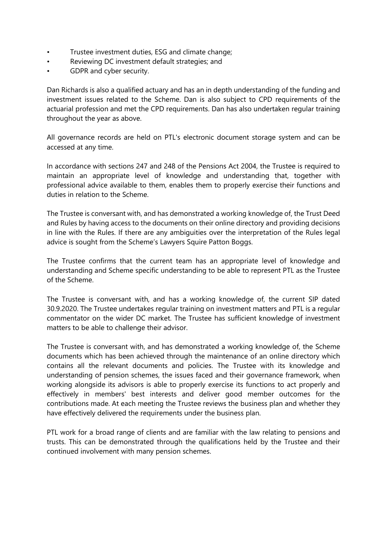- Trustee investment duties, ESG and climate change;
- Reviewing DC investment default strategies; and
- GDPR and cyber security.

Dan Richards is also a qualified actuary and has an in depth understanding of the funding and investment issues related to the Scheme. Dan is also subject to CPD requirements of the actuarial profession and met the CPD requirements. Dan has also undertaken regular training throughout the year as above.

All governance records are held on PTL's electronic document storage system and can be accessed at any time.

In accordance with sections 247 and 248 of the Pensions Act 2004, the Trustee is required to maintain an appropriate level of knowledge and understanding that, together with professional advice available to them, enables them to properly exercise their functions and duties in relation to the Scheme.

The Trustee is conversant with, and has demonstrated a working knowledge of, the Trust Deed and Rules by having access to the documents on their online directory and providing decisions in line with the Rules. If there are any ambiguities over the interpretation of the Rules legal advice is sought from the Scheme's Lawyers Squire Patton Boggs.

The Trustee confirms that the current team has an appropriate level of knowledge and understanding and Scheme specific understanding to be able to represent PTL as the Trustee of the Scheme.

The Trustee is conversant with, and has a working knowledge of, the current SIP dated 30.9.2020. The Trustee undertakes regular training on investment matters and PTL is a regular commentator on the wider DC market. The Trustee has sufficient knowledge of investment matters to be able to challenge their advisor.

The Trustee is conversant with, and has demonstrated a working knowledge of, the Scheme documents which has been achieved through the maintenance of an online directory which contains all the relevant documents and policies. The Trustee with its knowledge and understanding of pension schemes, the issues faced and their governance framework, when working alongside its advisors is able to properly exercise its functions to act properly and effectively in members' best interests and deliver good member outcomes for the contributions made. At each meeting the Trustee reviews the business plan and whether they have effectively delivered the requirements under the business plan.

PTL work for a broad range of clients and are familiar with the law relating to pensions and trusts. This can be demonstrated through the qualifications held by the Trustee and their continued involvement with many pension schemes.